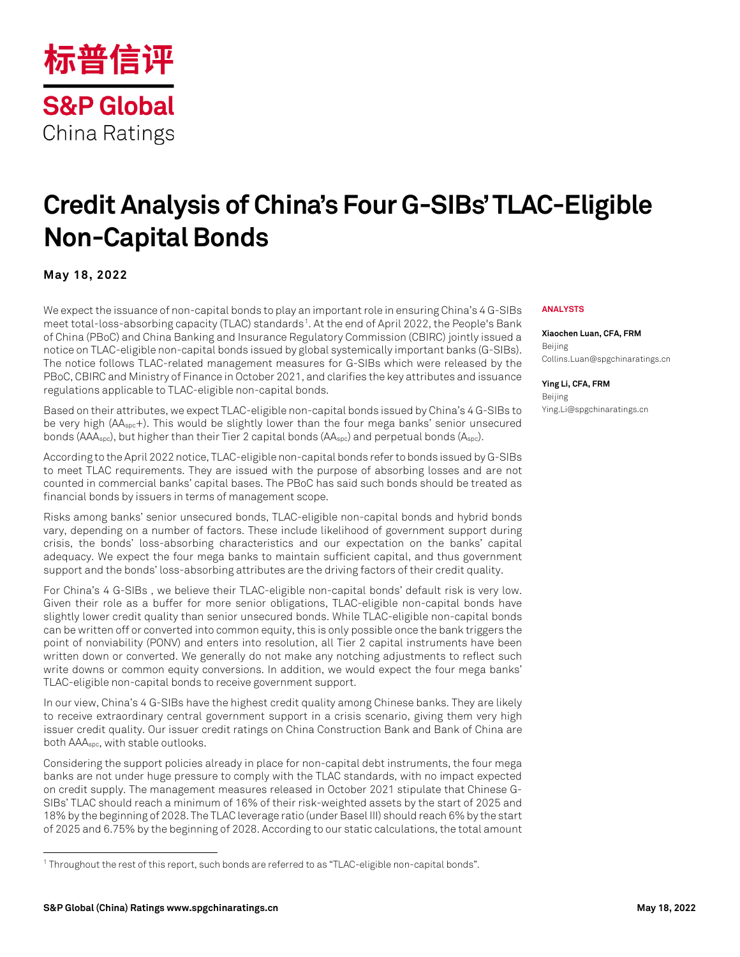

# **Credit Analysis of China's Four G-SIBs' TLAC-Eligible Non-Capital Bonds**

#### **May 18, 2022**

We expect the issuance of non-capital bonds to play an important role in ensuring China's 4 G-SIBs meet total-loss-absorbing capacity (TLAC) standards<sup>[1](#page-0-0)</sup>. At the end of April 2022, the People's Bank of China (PBoC) and China Banking and Insurance Regulatory Commission (CBIRC) jointly issued a notice on TLAC-eligible non-capital bonds issued by global systemically important banks (G-SIBs). The notice follows TLAC-related management measures for G-SIBs which were released by the PBoC, CBIRC and Ministry of Finance in October 2021, and clarifies the key attributes and issuance regulations applicable to TLAC-eligible non-capital bonds.

Based on their attributes, we expect TLAC-eligible non-capital bonds issued by China's 4 G-SIBs to be very high (AAspc+). This would be slightly lower than the four mega banks' senior unsecured bonds (AAAspc), but higher than their Tier 2 capital bonds (AAspc) and perpetual bonds (Aspc).

According to the April 2022 notice, TLAC-eligible non-capital bonds refer to bonds issued by G-SIBs to meet TLAC requirements. They are issued with the purpose of absorbing losses and are not counted in commercial banks' capital bases. The PBoC has said such bonds should be treated as financial bonds by issuers in terms of management scope.

Risks among banks' senior unsecured bonds, TLAC-eligible non-capital bonds and hybrid bonds vary, depending on a number of factors. These include likelihood of government support during crisis, the bonds' loss-absorbing characteristics and our expectation on the banks' capital adequacy. We expect the four mega banks to maintain sufficient capital, and thus government support and the bonds' loss-absorbing attributes are the driving factors of their credit quality.

For China's 4 G-SIBs , we believe their TLAC-eligible non-capital bonds' default risk is very low. Given their role as a buffer for more senior obligations, TLAC-eligible non-capital bonds have slightly lower credit quality than senior unsecured bonds. While TLAC-eligible non-capital bonds can be written off or converted into common equity, this is only possible once the bank triggers the point of nonviability (PONV) and enters into resolution, all Tier 2 capital instruments have been written down or converted. We generally do not make any notching adjustments to reflect such write downs or common equity conversions. In addition, we would expect the four mega banks' TLAC-eligible non-capital bonds to receive government support.

In our view, China's 4 G-SIBs have the highest credit quality among Chinese banks. They are likely to receive extraordinary central government support in a crisis scenario, giving them very high issuer credit quality. Our issuer credit ratings on China Construction Bank and Bank of China are both AAAspc, with stable outlooks.

Considering the support policies already in place for non-capital debt instruments, the four mega banks are not under huge pressure to comply with the TLAC standards, with no impact expected on credit supply. The management measures released in October 2021 stipulate that Chinese G-SIBs' TLAC should reach a minimum of 16% of their risk-weighted assets by the start of 2025 and 18% by the beginning of 2028. The TLAC leverage ratio (under Basel III) should reach 6% by the start of 2025 and 6.75% by the beginning of 2028. According to our static calculations, the total amount

#### **ANALYSTS**

**Xiaochen Luan, CFA, FRM** Beijing Collins.Luan@spgchinaratings.cn

**Ying Li, CFA, FRM** Beijing Ying.[Li@spgchinaratings.cn](mailto:x.y@spgchinaratings.cn)

<span id="page-0-0"></span><sup>1</sup> Throughout the rest of this report, such bonds are referred to as "TLAC-eligible non-capital bonds".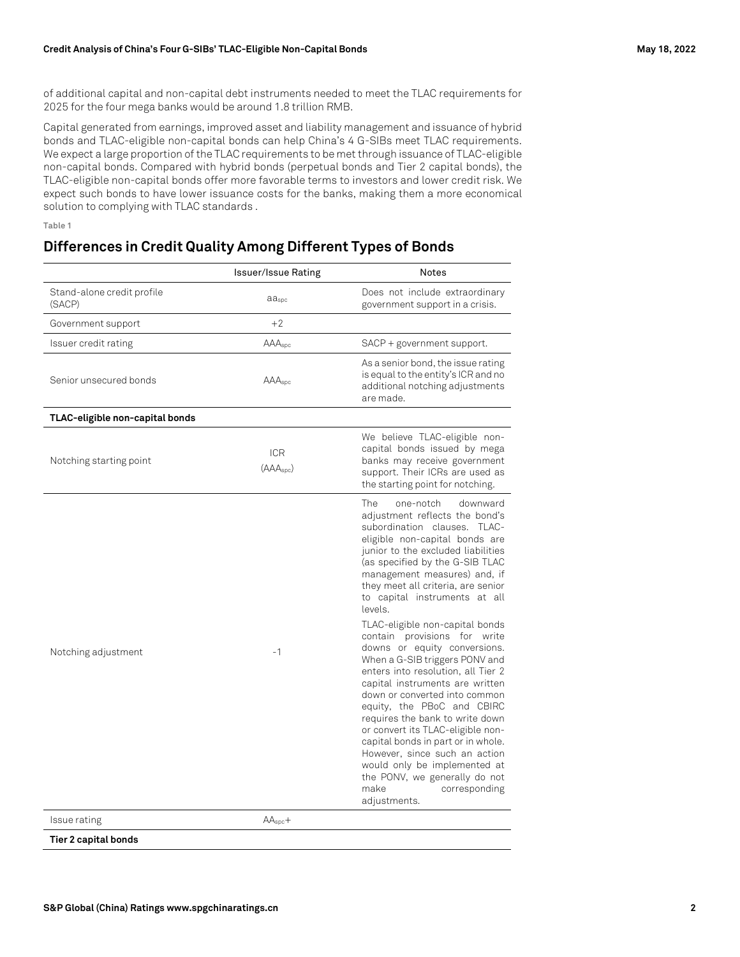of additional capital and non-capital debt instruments needed to meet the TLAC requirements for 2025 for the four mega banks would be around 1.8 trillion RMB.

Capital generated from earnings, improved asset and liability management and issuance of hybrid bonds and TLAC-eligible non-capital bonds can help China's 4 G-SIBs meet TLAC requirements. We expect a large proportion of the TLAC requirements to be met through issuance of TLAC-eligible non-capital bonds. Compared with hybrid bonds (perpetual bonds and Tier 2 capital bonds), the TLAC-eligible non-capital bonds offer more favorable terms to investors and lower credit risk. We expect such bonds to have lower issuance costs for the banks, making them a more economical solution to complying with TLAC standards .

**Table 1**

## **Differences in Credit Quality Among Different Types of Bonds**

|                                      | <b>Issuer/Issue Rating</b>          | <b>Notes</b>                                                                                                                                                                                                                                                                                                                                                                                                                                                                                                                                                                                                                                                                                                                                                                                                                                                      |
|--------------------------------------|-------------------------------------|-------------------------------------------------------------------------------------------------------------------------------------------------------------------------------------------------------------------------------------------------------------------------------------------------------------------------------------------------------------------------------------------------------------------------------------------------------------------------------------------------------------------------------------------------------------------------------------------------------------------------------------------------------------------------------------------------------------------------------------------------------------------------------------------------------------------------------------------------------------------|
| Stand-alone credit profile<br>(SACP) | aaspc                               | Does not include extraordinary<br>government support in a crisis.                                                                                                                                                                                                                                                                                                                                                                                                                                                                                                                                                                                                                                                                                                                                                                                                 |
| Government support                   | $+2$                                |                                                                                                                                                                                                                                                                                                                                                                                                                                                                                                                                                                                                                                                                                                                                                                                                                                                                   |
| Issuer credit rating                 | AAAspc                              | SACP + government support.                                                                                                                                                                                                                                                                                                                                                                                                                                                                                                                                                                                                                                                                                                                                                                                                                                        |
| Senior unsecured bonds               | AAAspc                              | As a senior bond, the issue rating<br>is equal to the entity's ICR and no<br>additional notching adjustments<br>are made.                                                                                                                                                                                                                                                                                                                                                                                                                                                                                                                                                                                                                                                                                                                                         |
| TLAC-eligible non-capital bonds      |                                     |                                                                                                                                                                                                                                                                                                                                                                                                                                                                                                                                                                                                                                                                                                                                                                                                                                                                   |
| Notching starting point              | <b>ICR</b><br>(AAA <sub>spc</sub> ) | We believe TLAC-eligible non-<br>capital bonds issued by mega<br>banks may receive government<br>support. Their ICRs are used as<br>the starting point for notching.                                                                                                                                                                                                                                                                                                                                                                                                                                                                                                                                                                                                                                                                                              |
| Notching adjustment                  | $-1$                                | The<br>downward<br>one-notch<br>adjustment reflects the bond's<br>subordination clauses. TLAC-<br>eligible non-capital bonds are<br>junior to the excluded liabilities<br>(as specified by the G-SIB TLAC<br>management measures) and, if<br>they meet all criteria, are senior<br>to capital instruments at all<br>levels.<br>TLAC-eligible non-capital bonds<br>contain provisions for write<br>downs or equity conversions.<br>When a G-SIB triggers PONV and<br>enters into resolution, all Tier 2<br>capital instruments are written<br>down or converted into common<br>equity, the PBoC and CBIRC<br>requires the bank to write down<br>or convert its TLAC-eligible non-<br>capital bonds in part or in whole.<br>However, since such an action<br>would only be implemented at<br>the PONV, we generally do not<br>make<br>corresponding<br>adjustments. |
| Issue rating                         | $AA_{\text{spc}}+$                  |                                                                                                                                                                                                                                                                                                                                                                                                                                                                                                                                                                                                                                                                                                                                                                                                                                                                   |
| Tier 2 capital bonds                 |                                     |                                                                                                                                                                                                                                                                                                                                                                                                                                                                                                                                                                                                                                                                                                                                                                                                                                                                   |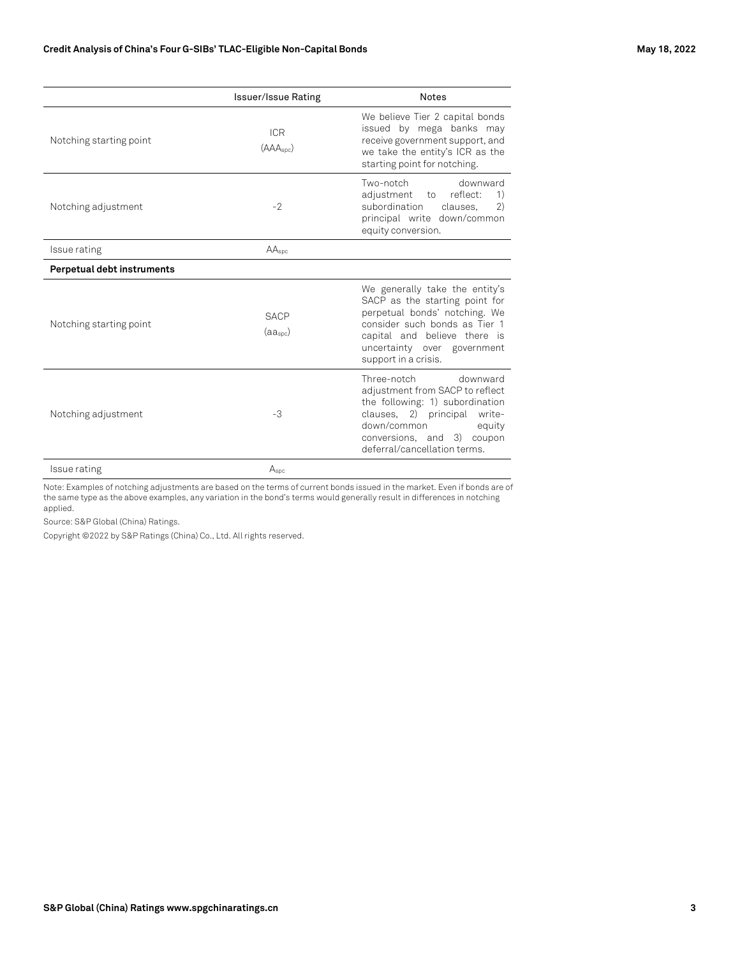|                            | <b>Issuer/Issue Rating</b>          | <b>Notes</b>                                                                                                                                                                                                              |
|----------------------------|-------------------------------------|---------------------------------------------------------------------------------------------------------------------------------------------------------------------------------------------------------------------------|
| Notching starting point    | <b>ICR</b><br>(AAA <sub>spc</sub> ) | We believe Tier 2 capital bonds<br>issued by mega banks may<br>receive government support, and<br>we take the entity's ICR as the<br>starting point for notching.                                                         |
| Notching adjustment        | $-2$                                | Two-notch<br>downward<br>adjustment to<br>reflect:<br>1)<br>subordination<br>(2)<br>clauses.<br>principal write down/common<br>equity conversion.                                                                         |
| Issue rating               | AA <sub>spc</sub>                   |                                                                                                                                                                                                                           |
| Perpetual debt instruments |                                     |                                                                                                                                                                                                                           |
| Notching starting point    | <b>SACP</b><br>(aa <sub>spc</sub> ) | We generally take the entity's<br>SACP as the starting point for<br>perpetual bonds' notching. We<br>consider such bonds as Tier 1<br>capital and believe there is<br>uncertainty over government<br>support in a crisis. |
| Notching adjustment        | -3                                  | Three-notch<br>downward<br>adjustment from SACP to reflect<br>the following: 1) subordination<br>clauses, 2) principal write-<br>down/common<br>equity<br>conversions, and 3) coupon<br>deferral/cancellation terms.      |
| Issue rating               | $A_{\text{spc}}$                    |                                                                                                                                                                                                                           |

Note: Examples of notching adjustments are based on the terms of current bonds issued in the market. Even if bonds are of the same type as the above examples, any variation in the bond's terms would generally result in differences in notching applied.

Source: S&P Global (China) Ratings.

Copyright ©2022 by S&P Ratings (China) Co., Ltd. All rights reserved.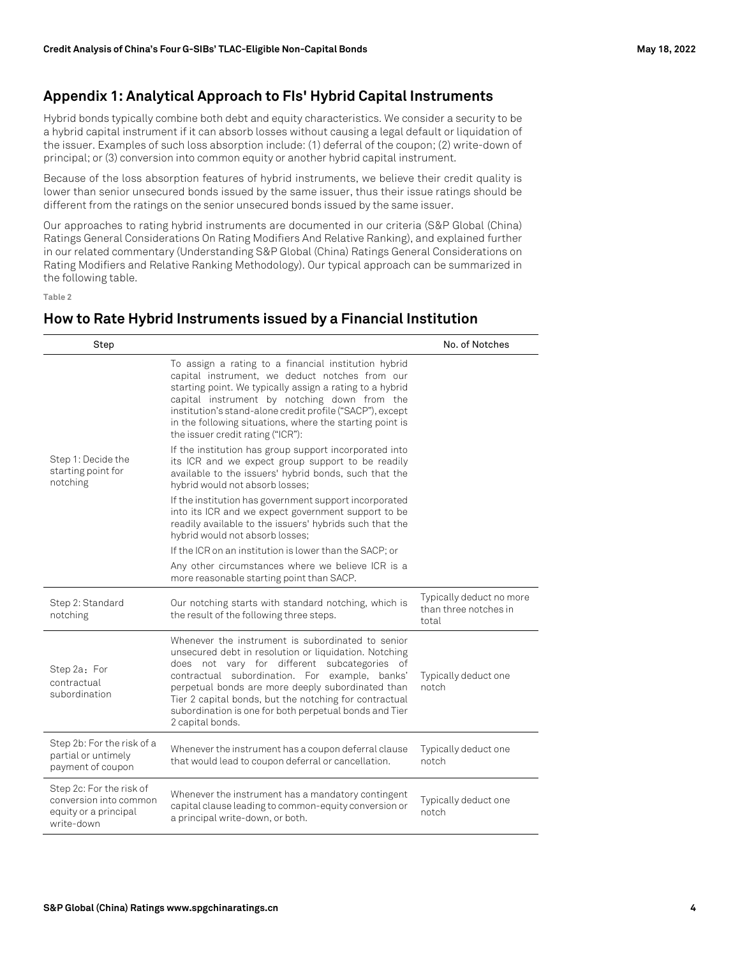### **Appendix 1: Analytical Approach to FIs' Hybrid Capital Instruments**

Hybrid bonds typically combine both debt and equity characteristics. We consider a security to be a hybrid capital instrument if it can absorb losses without causing a legal default or liquidation of the issuer. Examples of such loss absorption include: (1) deferral of the coupon; (2) write-down of principal; or (3) conversion into common equity or another hybrid capital instrument.

Because of the loss absorption features of hybrid instruments, we believe their credit quality is lower than senior unsecured bonds issued by the same issuer, thus their issue ratings should be different from the ratings on the senior unsecured bonds issued by the same issuer.

Our approaches to rating hybrid instruments are documented in our criteria (S&P Global (China) Ratings General Considerations On Rating Modifiers And Relative Ranking), and explained further in our related commentary (Understanding S&P Global (China) Ratings General Considerations on Rating Modifiers and Relative Ranking Methodology). Our typical approach can be summarized in the following table.

**Table 2**

### **How to Rate Hybrid Instruments issued by a Financial Institution**

| Step                                                                                      |                                                                                                                                                                                                                                                                                                                                                                                                           | No. of Notches                                             |
|-------------------------------------------------------------------------------------------|-----------------------------------------------------------------------------------------------------------------------------------------------------------------------------------------------------------------------------------------------------------------------------------------------------------------------------------------------------------------------------------------------------------|------------------------------------------------------------|
| Step 1: Decide the<br>starting point for<br>notching                                      | To assign a rating to a financial institution hybrid<br>capital instrument, we deduct notches from our<br>starting point. We typically assign a rating to a hybrid<br>capital instrument by notching down from the<br>institution's stand-alone credit profile ("SACP"), except<br>in the following situations, where the starting point is<br>the issuer credit rating ("ICR"):                          |                                                            |
|                                                                                           | If the institution has group support incorporated into<br>its ICR and we expect group support to be readily<br>available to the issuers' hybrid bonds, such that the<br>hybrid would not absorb losses;                                                                                                                                                                                                   |                                                            |
|                                                                                           | If the institution has government support incorporated<br>into its ICR and we expect government support to be<br>readily available to the issuers' hybrids such that the<br>hybrid would not absorb losses;                                                                                                                                                                                               |                                                            |
|                                                                                           | If the ICR on an institution is lower than the SACP; or                                                                                                                                                                                                                                                                                                                                                   |                                                            |
|                                                                                           | Any other circumstances where we believe ICR is a<br>more reasonable starting point than SACP.                                                                                                                                                                                                                                                                                                            |                                                            |
| Step 2: Standard<br>notching                                                              | Our notching starts with standard notching, which is<br>the result of the following three steps.                                                                                                                                                                                                                                                                                                          | Typically deduct no more<br>than three notches in<br>total |
| Step 2a: For<br>contractual<br>subordination                                              | Whenever the instrument is subordinated to senior<br>unsecured debt in resolution or liquidation. Notching<br>does not vary for different subcategories of<br>contractual subordination. For example, banks'<br>perpetual bonds are more deeply subordinated than<br>Tier 2 capital bonds, but the notching for contractual<br>subordination is one for both perpetual bonds and Tier<br>2 capital bonds. | Typically deduct one<br>notch                              |
| Step 2b: For the risk of a<br>partial or untimely<br>payment of coupon                    | Whenever the instrument has a coupon deferral clause<br>that would lead to coupon deferral or cancellation.                                                                                                                                                                                                                                                                                               | Typically deduct one<br>notch                              |
| Step 2c: For the risk of<br>conversion into common<br>equity or a principal<br>write-down | Whenever the instrument has a mandatory contingent<br>capital clause leading to common-equity conversion or<br>a principal write-down, or both.                                                                                                                                                                                                                                                           | Typically deduct one<br>notch                              |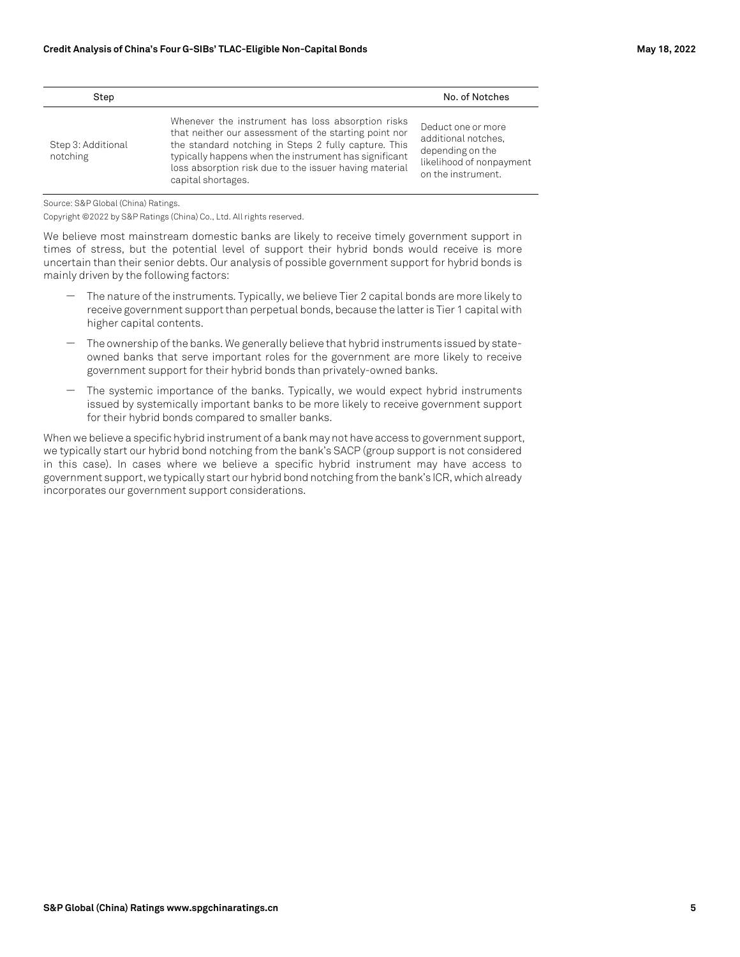| Step                           |                                                                                                                                                                                                                                                                                                             | No. of Notches                                                                                                  |
|--------------------------------|-------------------------------------------------------------------------------------------------------------------------------------------------------------------------------------------------------------------------------------------------------------------------------------------------------------|-----------------------------------------------------------------------------------------------------------------|
| Step 3: Additional<br>notching | Whenever the instrument has loss absorption risks<br>that neither our assessment of the starting point nor<br>the standard notching in Steps 2 fully capture. This<br>typically happens when the instrument has significant<br>loss absorption risk due to the issuer having material<br>capital shortages. | Deduct one or more<br>additional notches.<br>depending on the<br>likelihood of nonpayment<br>on the instrument. |

Source: S&P Global (China) Ratings.

Copyright ©2022 by S&P Ratings (China) Co., Ltd. All rights reserved.

We believe most mainstream domestic banks are likely to receive timely government support in times of stress, but the potential level of support their hybrid bonds would receive is more uncertain than their senior debts. Our analysis of possible government support for hybrid bonds is mainly driven by the following factors:

- ― The nature of the instruments. Typically, we believe Tier 2 capital bonds are more likely to receive government support than perpetual bonds, because the latter is Tier 1 capital with higher capital contents.
- The ownership of the banks. We generally believe that hybrid instruments issued by stateowned banks that serve important roles for the government are more likely to receive government support for their hybrid bonds than privately-owned banks.
- The systemic importance of the banks. Typically, we would expect hybrid instruments issued by systemically important banks to be more likely to receive government support for their hybrid bonds compared to smaller banks.

When we believe a specific hybrid instrument of a bank may not have access to government support, we typically start our hybrid bond notching from the bank's SACP (group support is not considered in this case). In cases where we believe a specific hybrid instrument may have access to government support, we typically start our hybrid bond notching from the bank's ICR, which already incorporates our government support considerations.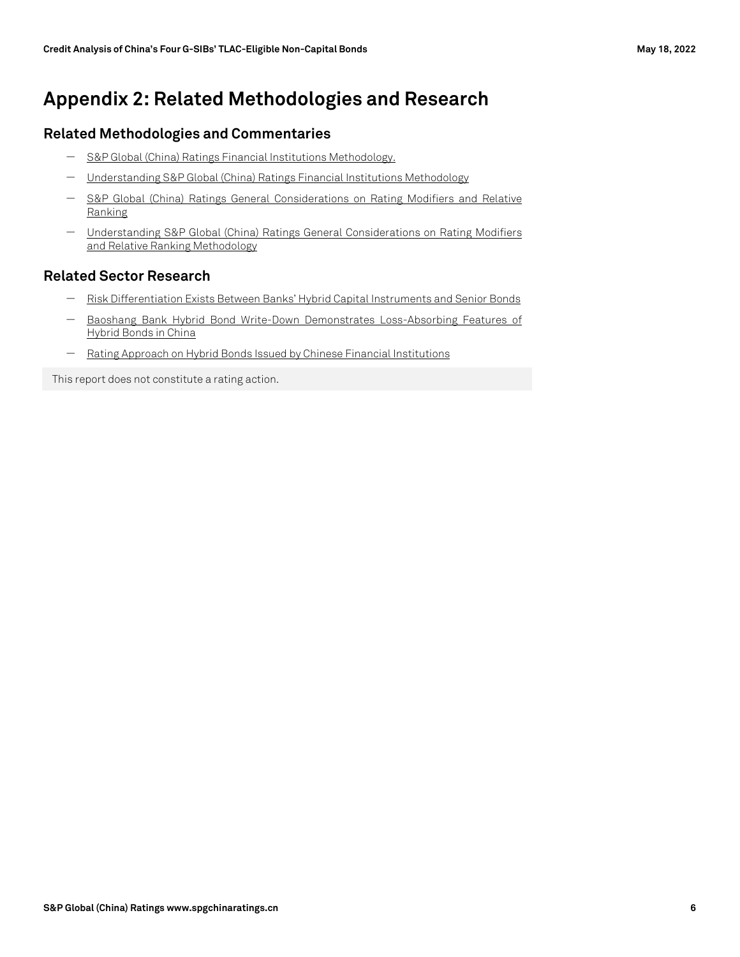# **Appendix 2: Related Methodologies and Research**

#### **Related Methodologies and Commentaries**

- ― [S&P Global \(China\) Ratings Financial Institutions Methodology.](https://www.spgchinaratings.cn/criteria/financial-institutions_en)
- ― [Understanding S&P Global \(China\) Ratings Financial Institutions Methodology](https://www.spgchinaratings.cn/criteria/commentary-understanding-sp-global-china-ratings-financial-institutions-methodology)
- ― [S&P Global \(China\) Ratings General Considerations on Rating Modifiers and Relative](https://www.spgchinaratings.cn/criteria/general-considerations-on-rating-modifiers-and-relative-ranking_en)  [Ranking](https://www.spgchinaratings.cn/criteria/general-considerations-on-rating-modifiers-and-relative-ranking_en)
- ― [Understanding S&P Global \(China\) Ratings General Considerations on Rating Modifiers](https://www.spgchinaratings.cn/criteria/commentary-rmrr-29june2020_en)  [and Relative Ranking Methodology](https://www.spgchinaratings.cn/criteria/commentary-rmrr-29june2020_en)

#### **Related Sector Research**

- [Risk Differentiation Exists Between Banks' Hybrid Capital Instruments and Senior Bonds](https://www.spgchinaratings.cn/insights/articles/2020-7-1-hybrid-bonds_en)
- Baoshang Bank Hybrid Bond Write-Down Demonstrates Loss-Absorbing Features of [Hybrid Bonds in China](https://www.spgchinaratings.cn/en/research/articles/2020-11-16_commentary_baoshang-bank-hybrid-bonds_en)
- [Rating Approach on Hybrid Bonds Issued by Chinese Financial Institutions](https://www.spgchinaratings.cn/en/research/articles/2021-05-25_commentary_hybrid-bonds_en)

This report does not constitute a rating action.